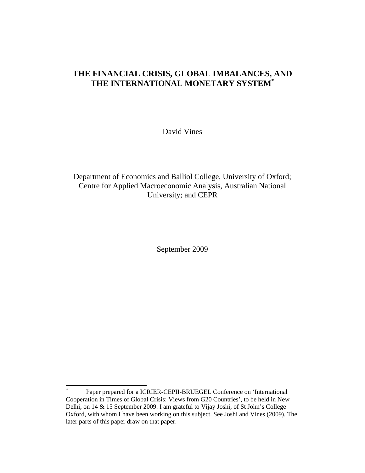# **THE FINANCIAL CRISIS, GLOBAL IMBALANCES, AND THE INTERNATIONAL MONETARY SYSTEM\***

David Vines

# Department of Economics and Balliol College, University of Oxford; Centre for Applied Macroeconomic Analysis, Australian National University; and CEPR

September 2009

 $\overline{a}$ 

Paper prepared for a ICRIER-CEPII-BRUEGEL Conference on 'International Cooperation in Times of Global Crisis: Views from G20 Countries', to be held in New Delhi, on 14 & 15 September 2009. I am grateful to Vijay Joshi, of St John's College Oxford, with whom I have been working on this subject. See Joshi and Vines (2009). The later parts of this paper draw on that paper.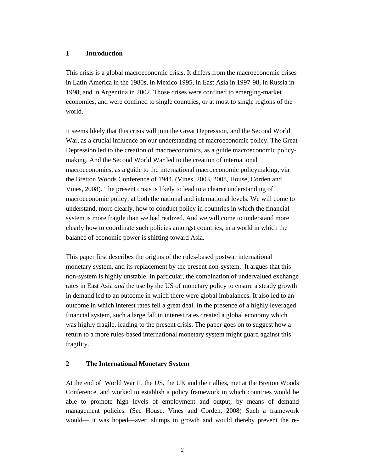## **1 Introduction**

This crisis is a global macroeconomic crisis. It differs from the macroeconomic crises in Latin America in the 1980s, in Mexico 1995, in East Asia in 1997-98, in Russia in 1998, and in Argentina in 2002. Those crises were confined to emerging-market economies, and were confined to single countries, or at most to single regions of the world.

It seems likely that this crisis will join the Great Depression, and the Second World War, as a crucial influence on our understanding of macroeconomic policy. The Great Depression led to the creation of macroeconomics, as a guide macroeconomic policymaking. And the Second World War led to the creation of international macroeconomics, as a guide to the international macroeconomic policymaking, via the Bretton Woods Conference of 1944. (Vines, 2003, 2008, House, Corden and Vines, 2008). The present crisis is likely to lead to a clearer understanding of macroeconomic policy, at both the national and international levels. We will come to understand, more clearly, how to conduct policy in countries in which the financial system is more fragile than we had realized. And we will come to understand more clearly how to coordinate such policies amongst countries, in a world in which the balance of economic power is shifting toward Asia.

This paper first describes the origins of the rules-based postwar international monetary system, and its replacement by the present non-system. It argues that this non-system is highly unstable. In particular, the combination of undervalued exchange rates in East Asia *and* the use by the US of monetary policy to ensure a steady growth in demand led to an outcome in which there were global imbalances. It also led to an outcome in which interest rates fell a great deal. In the presence of a highly leveraged financial system, such a large fall in interest rates created a global economy which was highly fragile, leading to the present crisis. The paper goes on to suggest how a return to a more rules-based international monetary system might guard against this fragility.

## **2 The International Monetary System**

At the end of World War II, the US, the UK and their allies, met at the Bretton Woods Conference, and worked to establish a policy framework in which countries would be able to promote high levels of employment and output, by means of demand management policies. (See House, Vines and Corden, 2008) Such a framework would— it was hoped—avert slumps in growth and would thereby prevent the re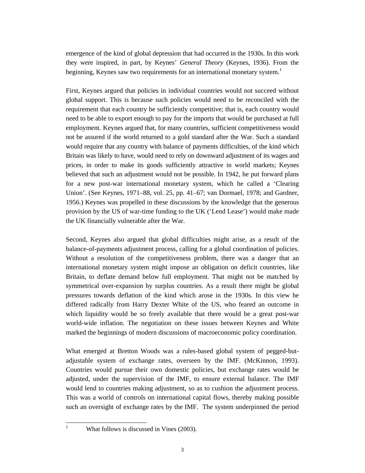emergence of the kind of global depression that had occurred in the 1930s. In this work they were inspired, in part, by Keynes' *General Theory* (Keynes, 1936). From the beginning, Keynes saw two requirements for an international monetary system.<sup>1</sup>

First, Keynes argued that policies in individual countries would not succeed without global support. This is because such policies would need to be reconciled with the requirement that each country be sufficiently competitive; that is, each country would need to be able to export enough to pay for the imports that would be purchased at full employment. Keynes argued that, for many countries, sufficient competitiveness would not be assured if the world returned to a gold standard after the War. Such a standard would require that any country with balance of payments difficulties, of the kind which Britain was likely to have, would need to rely on downward adjustment of its wages and prices, in order to make its goods sufficiently attractive in world markets; Keynes believed that such an adjustment would not be possible. In 1942, he put forward plans for a new post-war international monetary system, which he called a 'Clearing Union'. (See Keynes, 1971–88, vol. 25, pp. 41–67; van Dormael, 1978; and Gardner, 1956.) Keynes was propelled in these discussions by the knowledge that the generous provision by the US of war-time funding to the UK ('Lend Lease') would make made the UK financially vulnerable after the War.

Second, Keynes also argued that global difficulties might arise, as a result of the balance-of-payments adjustment process, calling for a global coordination of policies. Without a resolution of the competitiveness problem, there was a danger that an international monetary system might impose an obligation on deficit countries, like Britain, to deflate demand below full employment. That might not be matched by symmetrical over-expansion by surplus countries. As a result there might be global pressures towards deflation of the kind which arose in the 1930s. In this view he differed radically from Harry Dexter White of the US, who feared an outcome in which liquidity would be so freely available that there would be a great post-war world-wide inflation. The negotiation on these issues between Keynes and White marked the beginnings of modern discussions of macroeconomic policy coordination.

What emerged at Bretton Woods was a rules-based global system of pegged-butadjustable system of exchange rates, overseen by the IMF. (McKinnon, 1993). Countries would pursue their own domestic policies, but exchange rates would be adjusted, under the supervision of the IMF, to ensure external balance. The IMF would lend to countries making adjustment, so as to cushion the adjustment process. This was a world of controls on international capital flows, thereby making possible such an oversight of exchange rates by the IMF. The system underpinned the period

1

What follows is discussed in Vines (2003).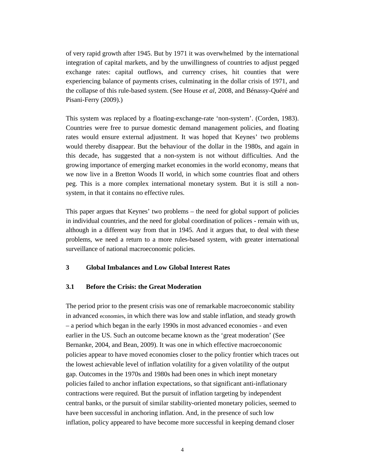of very rapid growth after 1945. But by 1971 it was overwhelmed by the international integration of capital markets, and by the unwillingness of countries to adjust pegged exchange rates: capital outflows, and currency crises, hit counties that were experiencing balance of payments crises, culminating in the dollar crisis of 1971, and the collapse of this rule-based system. (See House *et al,* 2008, and Bénassy-Quéré and Pisani-Ferry (2009).)

This system was replaced by a floating-exchange-rate 'non-system'. (Corden, 1983). Countries were free to pursue domestic demand management policies, and floating rates would ensure external adjustment. It was hoped that Keynes' two problems would thereby disappear. But the behaviour of the dollar in the 1980s, and again in this decade, has suggested that a non-system is not without difficulties. And the growing importance of emerging market economies in the world economy, means that we now live in a Bretton Woods II world, in which some countries float and others peg. This is a more complex international monetary system. But it is still a nonsystem, in that it contains no effective rules.

This paper argues that Keynes' two problems – the need for global support of policies in individual countries, and the need for global coordination of polices - remain with us, although in a different way from that in 1945. And it argues that, to deal with these problems, we need a return to a more rules-based system, with greater international surveillance of national macroeconomic policies.

## **3 Global Imbalances and Low Global Interest Rates**

#### **3.1 Before the Crisis: the Great Moderation**

The period prior to the present crisis was one of remarkable macroeconomic stability in advanced economies, in which there was low and stable inflation, and steady growth – a period which began in the early 1990s in most advanced economies - and even earlier in the US. Such an outcome became known as the 'great moderation' (See Bernanke, 2004, and Bean, 2009). It was one in which effective macroeconomic policies appear to have moved economies closer to the policy frontier which traces out the lowest achievable level of inflation volatility for a given volatility of the output gap. Outcomes in the 1970s and 1980s had been ones in which inept monetary policies failed to anchor inflation expectations, so that significant anti-inflationary contractions were required. But the pursuit of inflation targeting by independent central banks, or the pursuit of similar stability-oriented monetary policies, seemed to have been successful in anchoring inflation. And, in the presence of such low inflation, policy appeared to have become more successful in keeping demand closer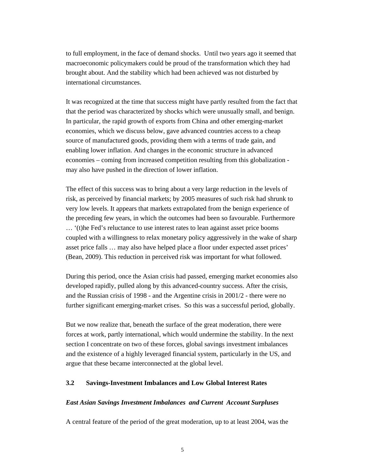to full employment, in the face of demand shocks. Until two years ago it seemed that macroeconomic policymakers could be proud of the transformation which they had brought about. And the stability which had been achieved was not disturbed by international circumstances.

It was recognized at the time that success might have partly resulted from the fact that that the period was characterized by shocks which were unusually small, and benign. In particular, the rapid growth of exports from China and other emerging-market economies, which we discuss below, gave advanced countries access to a cheap source of manufactured goods, providing them with a terms of trade gain, and enabling lower inflation. And changes in the economic structure in advanced economies – coming from increased competition resulting from this globalization may also have pushed in the direction of lower inflation.

The effect of this success was to bring about a very large reduction in the levels of risk, as perceived by financial markets; by 2005 measures of such risk had shrunk to very low levels. It appears that markets extrapolated from the benign experience of the preceding few years, in which the outcomes had been so favourable. Furthermore … '(t)he Fed's reluctance to use interest rates to lean against asset price booms coupled with a willingness to relax monetary policy aggressively in the wake of sharp asset price falls … may also have helped place a floor under expected asset prices' (Bean, 2009). This reduction in perceived risk was important for what followed.

During this period, once the Asian crisis had passed, emerging market economies also developed rapidly, pulled along by this advanced-country success. After the crisis, and the Russian crisis of 1998 - and the Argentine crisis in 2001/2 - there were no further significant emerging-market crises. So this was a successful period, globally.

But we now realize that, beneath the surface of the great moderation, there were forces at work, partly international, which would undermine the stability. In the next section I concentrate on two of these forces, global savings investment imbalances and the existence of a highly leveraged financial system, particularly in the US, and argue that these became interconnected at the global level.

# **3.2 Savings-Investment Imbalances and Low Global Interest Rates**

#### *East Asian Savings Investment Imbalances and Current Account Surpluses*

A central feature of the period of the great moderation, up to at least 2004, was the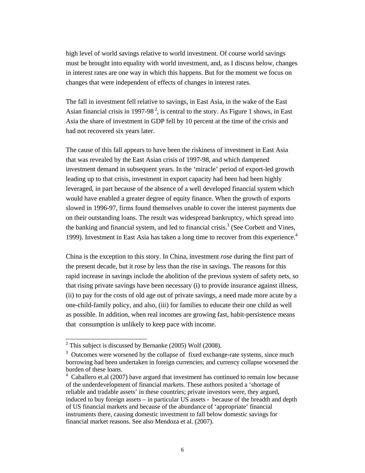high level of world savings relative to world investment. Of course world savings must be brought into equality with world investment, and, as I discuss below, changes in interest rates are one way in which this happens. But for the moment we focus on changes that were independent of effects of changes in interest rates.

The fall in investment fell relative to savings, in East Asia, in the wake of the East Asian financial crisis in 1997-98<sup>2</sup>, is central to the story. As Figure 1 shows, in East Asia the share of investment in GDP fell by 10 percent at the time of the crisis and had not recovered six years later.

The cause of this fall appears to have been the riskiness of investment in East Asia that was revealed by the East Asian crisis of 1997-98, and which dampened investment demand in subsequent years. In the 'miracle' period of export-led growth leading up to that crisis, investment in export capacity had been had been highly leveraged, in part because of the absence of a well developed financial system which would have enabled a greater degree of equity finance. When the growth of exports slowed in 1996-97, firms found themselves unable to cover the interest payments due on their outstanding loans. The result was widespread bankruptcy, which spread into the banking and financial system, and led to financial crisis.<sup>3</sup> (See Corbett and Vines, 1999). Investment in East Asia has taken a long time to recover from this experience.<sup>4</sup>

China is the exception to this story. In China, investment *rose* during the first part of the present decade, but it rose by less than the rise in savings. The reasons for this rapid increase in savings include the abolition of the previous system of safety nets, so that rising private savings have been necessary (i) to provide insurance against illness, (ii) to pay for the costs of old age out of private savings, a need made more acute by a one-child-family policy, and also, (iii) for families to educate their one child as well as possible. In addition, when real incomes are growing fast, habit-persistence means that consumption is unlikely to keep pace with income.

<sup>&</sup>lt;sup>2</sup> This subject is discussed by Bernanke (2005) Wolf (2008).

<sup>&</sup>lt;sup>3</sup> Outcomes were worsened by the collapse of fixed exchange-rate systems, since much borrowing had been undertaken in foreign currencies; and currency collapse worsened the burden of these loans.

<sup>&</sup>lt;sup>4</sup> Caballero et.al (2007) have argued that investment has continued to remain low because of the underdevelopment of financial markets. These authors posited a 'shortage of reliable and tradable assets' in these countries; private investors were, they argued, induced to buy foreign assets – in particular US assets - because of the breadth and depth of US financial markets and because of the abundance of 'appropriate' financial instruments there, causing domestic investment to fall below domestic savings for financial market reasons. See also Mendoza et al. (2007).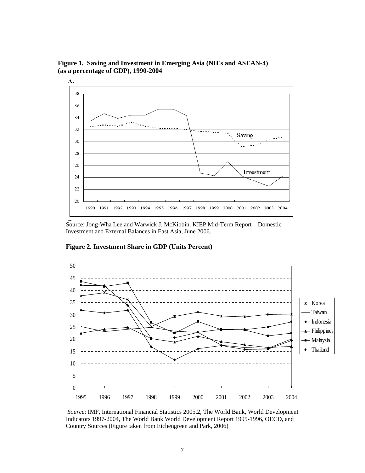**Figure 1. Saving and Investment in Emerging Asia (NIEs and ASEAN-4) (as a percentage of GDP), 1990-2004** 



Source: Jong-Wha Lee and Warwick J. McKibbin, KIEP Mid-Term Report – Domestic Investment and External Balances in East Asia, June 2006.



**Figure 2. Investment Share in GDP (Units Percent)** 

 *Source*: IMF, International Financial Statistics 2005.2, The World Bank, World Development Indicators 1997-2004, The World Bank World Development Report 1995-1996, OECD, and Country Sources (Figure taken from Eichengreen and Park, 2006)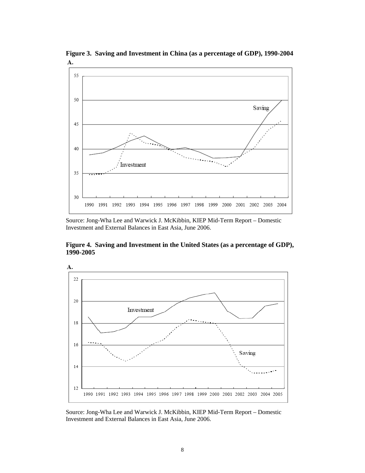

**Figure 3. Saving and Investment in China (as a percentage of GDP), 1990-2004**  A.

Source: Jong-Wha Lee and Warwick J. McKibbin, KIEP Mid-Term Report – Domestic Investment and External Balances in East Asia, June 2006.

# **Figure 4. Saving and Investment in the United States (as a percentage of GDP), 1990-2005**



Source: Jong-Wha Lee and Warwick J. McKibbin, KIEP Mid-Term Report – Domestic Investment and External Balances in East Asia, June 2006.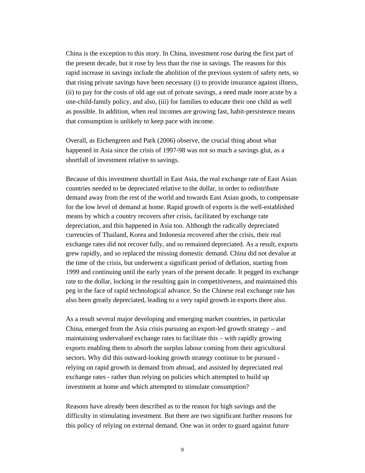China is the exception to this story. In China, investment *rose* during the first part of the present decade, but it rose by less than the rise in savings. The reasons for this rapid increase in savings include the abolition of the previous system of safety nets, so that rising private savings have been necessary (i) to provide insurance against illness, (ii) to pay for the costs of old age out of private savings, a need made more acute by a one-child-family policy, and also, (iii) for families to educate their one child as well as possible. In addition, when real incomes are growing fast, habit-persistence means that consumption is unlikely to keep pace with income.

Overall, as Eichengreen and Park (2006) observe, the crucial thing about what happened in Asia since the crisis of 1997-98 was not so much a savings glut, as a shortfall of investment relative to savings.

Because of this investment shortfall in East Asia, the real exchange rate of East Asian countries needed to be depreciated relative to the dollar, in order to redistribute demand away from the rest of the world and towards East Asian goods, to compensate for the low level of demand at home. Rapid growth of exports is the well-established means by which a country recovers after crisis, facilitated by exchange rate depreciation, and this happened in Asia too. Although the radically depreciated currencies of Thailand, Korea and Indonesia recovered after the crisis, their real exchange rates did not recover fully, and so remained depreciated. As a result, exports grew rapidly, and so replaced the missing domestic demand. China did not devalue at the time of the crisis, but underwent a significant period of deflation, starting from 1999 and continuing until the early years of the present decade. It pegged its exchange rate to the dollar, locking in the resulting gain in competitiveness, and maintained this peg in the face of rapid technological advance. So the Chinese real exchange rate has also been greatly depreciated, leading to a very rapid growth in exports there also.

As a result several major developing and emerging market countries, in particular China, emerged from the Asia crisis pursuing an export-led growth strategy – and maintaining undervalued exchange rates to facilitate this – with rapidly growing exports enabling them to absorb the surplus labour coming from their agricultural sectors. Why did this outward-looking growth strategy continue to be pursued relying on rapid growth in demand from abroad, and assisted by depreciated real exchange rates - rather than relying on policies which attempted to build up investment at home and which attempted to stimulate consumption?

Reasons have already been described as to the reason for high savings and the difficulty in stimulating investment. But there are two significant further reasons for this policy of relying on external demand. One was in order to guard against future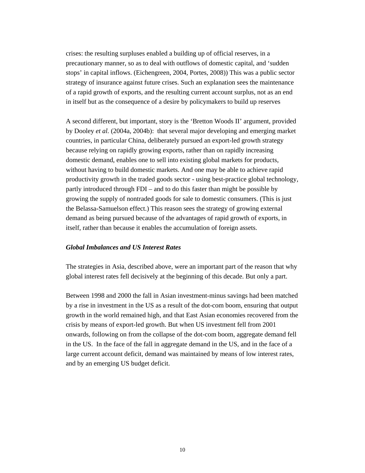crises: the resulting surpluses enabled a building up of official reserves, in a precautionary manner, so as to deal with outflows of domestic capital, and 'sudden stops' in capital inflows. (Eichengreen, 2004, Portes, 2008)) This was a public sector strategy of insurance against future crises. Such an explanation sees the maintenance of a rapid growth of exports, and the resulting current account surplus, not as an end in itself but as the consequence of a desire by policymakers to build up reserves

A second different, but important, story is the 'Bretton Woods II' argument, provided by Dooley *et al.* (2004a, 2004b): that several major developing and emerging market countries, in particular China, deliberately pursued an export-led growth strategy because relying on rapidly growing exports, rather than on rapidly increasing domestic demand, enables one to sell into existing global markets for products, without having to build domestic markets. And one may be able to achieve rapid productivity growth in the traded goods sector - using best-practice global technology, partly introduced through FDI – and to do this faster than might be possible by growing the supply of nontraded goods for sale to domestic consumers. (This is just the Belassa-Samuelson effect.) This reason sees the strategy of growing external demand as being pursued because of the advantages of rapid growth of exports, in itself, rather than because it enables the accumulation of foreign assets.

#### *Global Imbalances and US Interest Rates*

The strategies in Asia, described above, were an important part of the reason that why global interest rates fell decisively at the beginning of this decade. But only a part.

Between 1998 and 2000 the fall in Asian investment-minus savings had been matched by a rise in investment in the US as a result of the dot-com boom, ensuring that output growth in the world remained high, and that East Asian economies recovered from the crisis by means of export-led growth. But when US investment fell from 2001 onwards, following on from the collapse of the dot-com boom, aggregate demand fell in the US. In the face of the fall in aggregate demand in the US, and in the face of a large current account deficit, demand was maintained by means of low interest rates, and by an emerging US budget deficit.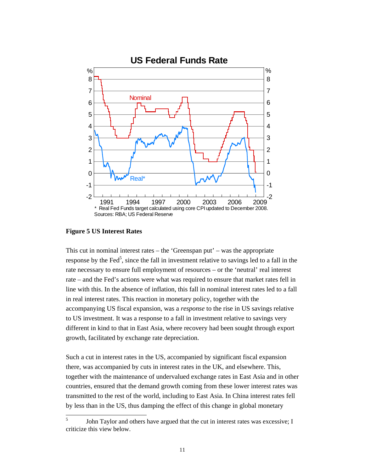

**Figure 5 US Interest Rates** 

This cut in nominal interest rates – the 'Greenspan put' – was the appropriate response by the Fed<sup>5</sup>, since the fall in investment relative to savings led to a fall in the rate necessary to ensure full employment of resources – or the 'neutral' real interest rate – and the Fed's actions were what was required to ensure that market rates fell in line with this. In the absence of inflation, this fall in nominal interest rates led to a fall in real interest rates. This reaction in monetary policy, together with the accompanying US fiscal expansion, was a *response* to the rise in US savings relative to US investment. It was a response to a fall in investment relative to savings very different in kind to that in East Asia, where recovery had been sought through export growth, facilitated by exchange rate depreciation.

Such a cut in interest rates in the US, accompanied by significant fiscal expansion there, was accompanied by cuts in interest rates in the UK, and elsewhere. This, together with the maintenance of undervalued exchange rates in East Asia and in other countries, ensured that the demand growth coming from these lower interest rates was transmitted to the rest of the world, including to East Asia. In China interest rates fell by less than in the US, thus damping the effect of this change in global monetary

 5 John Taylor and others have argued that the cut in interest rates was excessive; I criticize this view below.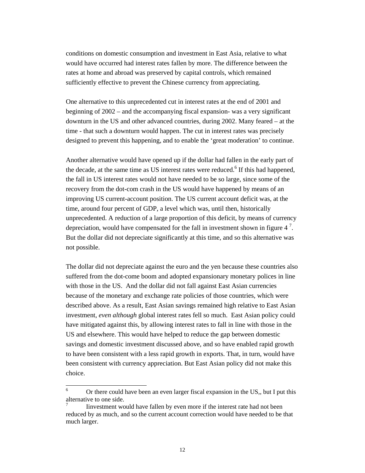conditions on domestic consumption and investment in East Asia, relative to what would have occurred had interest rates fallen by more. The difference between the rates at home and abroad was preserved by capital controls, which remained sufficiently effective to prevent the Chinese currency from appreciating.

One alternative to this unprecedented cut in interest rates at the end of 2001 and beginning of 2002 – and the accompanying fiscal expansion- was a very significant downturn in the US and other advanced countries, during 2002. Many feared – at the time - that such a downturn would happen. The cut in interest rates was precisely designed to prevent this happening, and to enable the 'great moderation' to continue.

Another alternative would have opened up if the dollar had fallen in the early part of the decade, at the same time as US interest rates were reduced.<sup>6</sup> If this had happened, the fall in US interest rates would not have needed to be so large, since some of the recovery from the dot-com crash in the US would have happened by means of an improving US current-account position. The US current account deficit was, at the time, around four percent of GDP, a level which was, until then, historically unprecedented. A reduction of a large proportion of this deficit, by means of currency depreciation, would have compensated for the fall in investment shown in figure 4<sup>7</sup>. But the dollar did not depreciate significantly at this time, and so this alternative was not possible.

The dollar did not depreciate against the euro and the yen because these countries also suffered from the dot-come boom and adopted expansionary monetary polices in line with those in the US. And the dollar did not fall against East Asian currencies because of the monetary and exchange rate policies of those countries, which were described above. As a result, East Asian savings remained high relative to East Asian investment, *even although* global interest rates fell so much. East Asian policy could have mitigated against this, by allowing interest rates to fall in line with those in the US and elsewhere. This would have helped to reduce the gap between domestic savings and domestic investment discussed above, and so have enabled rapid growth to have been consistent with a less rapid growth in exports. That, in turn, would have been consistent with currency appreciation. But East Asian policy did not make this choice.

 6 Or there could have been an even larger fiscal expansion in the US,, but I put this alternative to one side.

<sup>7</sup> Iinvestment would have fallen by even more if the interest rate had not been reduced by as much, and so the current account correction would have needed to be that much larger.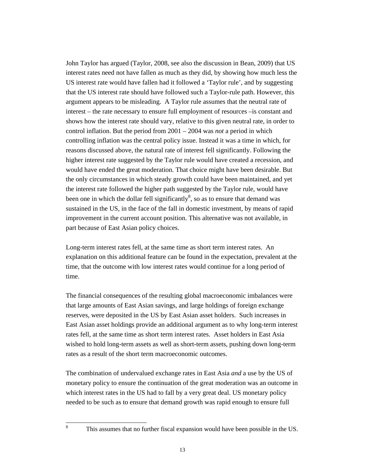John Taylor has argued (Taylor, 2008, see also the discussion in Bean, 2009) that US interest rates need not have fallen as much as they did, by showing how much less the US interest rate would have fallen had it followed a 'Taylor rule', and by suggesting that the US interest rate should have followed such a Taylor-rule path. However, this argument appears to be misleading. A Taylor rule assumes that the neutral rate of interest – the rate necessary to ensure full employment of resources –is constant and shows how the interest rate should vary, relative to this given neutral rate, in order to control inflation. But the period from 2001 – 2004 was *not* a period in which controlling inflation was the central policy issue. Instead it was a time in which, for reasons discussed above, the natural rate of interest fell significantly. Following the higher interest rate suggested by the Taylor rule would have created a recession, and would have ended the great moderation. That choice might have been desirable. But the only circumstances in which steady growth could have been maintained, and yet the interest rate followed the higher path suggested by the Taylor rule, would have been one in which the dollar fell significantly<sup>8</sup>, so as to ensure that demand was sustained in the US, in the face of the fall in domestic investment, by means of rapid improvement in the current account position. This alternative was not available, in part because of East Asian policy choices.

Long-term interest rates fell, at the same time as short term interest rates. An explanation on this additional feature can be found in the expectation, prevalent at the time, that the outcome with low interest rates would continue for a long period of time.

The financial consequences of the resulting global macroeconomic imbalances were that large amounts of East Asian savings, and large holdings of foreign exchange reserves, were deposited in the US by East Asian asset holders. Such increases in East Asian asset holdings provide an additional argument as to why long-term interest rates fell, at the same time as short term interest rates. Asset holders in East Asia wished to hold long-term assets as well as short-term assets, pushing down long-term rates as a result of the short term macroeconomic outcomes.

The combination of undervalued exchange rates in East Asia *and* a use by the US of monetary policy to ensure the continuation of the great moderation was an outcome in which interest rates in the US had to fall by a very great deal. US monetary policy needed to be such as to ensure that demand growth was rapid enough to ensure full

8

This assumes that no further fiscal expansion would have been possible in the US.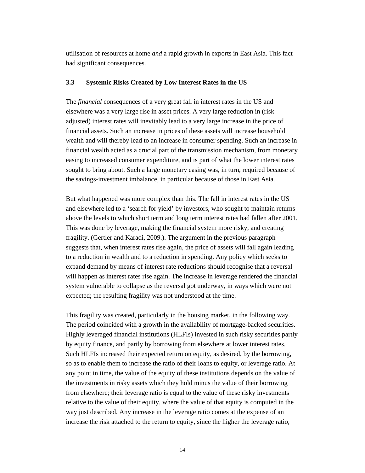utilisation of resources at home *and* a rapid growth in exports in East Asia. This fact had significant consequences.

#### **3.3 Systemic Risks Created by Low Interest Rates in the US**

The *financial* consequences of a very great fall in interest rates in the US and elsewhere was a very large rise in asset prices. A very large reduction in (risk adjusted) interest rates will inevitably lead to a very large increase in the price of financial assets. Such an increase in prices of these assets will increase household wealth and will thereby lead to an increase in consumer spending. Such an increase in financial wealth acted as a crucial part of the transmission mechanism, from monetary easing to increased consumer expenditure, and is part of what the lower interest rates sought to bring about. Such a large monetary easing was, in turn, required because of the savings-investment imbalance, in particular because of those in East Asia.

But what happened was more complex than this. The fall in interest rates in the US and elsewhere led to a 'search for yield' by investors, who sought to maintain returns above the levels to which short term and long term interest rates had fallen after 2001. This was done by leverage, making the financial system more risky, and creating fragility. (Gertler and Karadi, 2009.). The argument in the previous paragraph suggests that, when interest rates rise again, the price of assets will fall again leading to a reduction in wealth and to a reduction in spending. Any policy which seeks to expand demand by means of interest rate reductions should recognise that a reversal will happen as interest rates rise again. The increase in leverage rendered the financial system vulnerable to collapse as the reversal got underway, in ways which were not expected; the resulting fragility was not understood at the time.

This fragility was created, particularly in the housing market, in the following way. The period coincided with a growth in the availability of mortgage-backed securities. Highly leveraged financial institutions (HLFIs) invested in such risky securities partly by equity finance, and partly by borrowing from elsewhere at lower interest rates. Such HLFIs increased their expected return on equity, as desired, by the borrowing, so as to enable them to increase the ratio of their loans to equity, or leverage ratio. At any point in time, the value of the equity of these institutions depends on the value of the investments in risky assets which they hold minus the value of their borrowing from elsewhere; their leverage ratio is equal to the value of these risky investments relative to the value of their equity, where the value of that equity is computed in the way just described. Any increase in the leverage ratio comes at the expense of an increase the risk attached to the return to equity, since the higher the leverage ratio,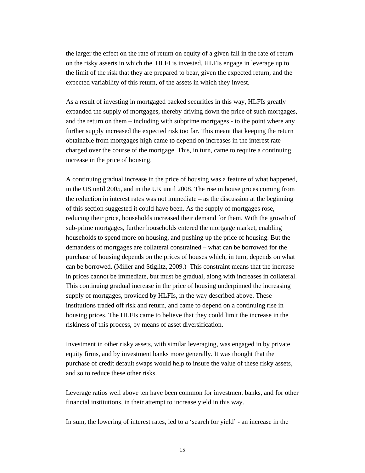the larger the effect on the rate of return on equity of a given fall in the rate of return on the risky asserts in which the HLFI is invested. HLFIs engage in leverage up to the limit of the risk that they are prepared to bear, given the expected return, and the expected variability of this return, of the assets in which they invest.

As a result of investing in mortgaged backed securities in this way, HLFIs greatly expanded the supply of mortgages, thereby driving down the price of such mortgages, and the return on them – including with subprime mortgages - to the point where any further supply increased the expected risk too far. This meant that keeping the return obtainable from mortgages high came to depend on increases in the interest rate charged over the course of the mortgage. This, in turn, came to require a continuing increase in the price of housing.

A continuing gradual increase in the price of housing was a feature of what happened, in the US until 2005, and in the UK until 2008. The rise in house prices coming from the reduction in interest rates was not immediate  $-$  as the discussion at the beginning of this section suggested it could have been. As the supply of mortgages rose, reducing their price, households increased their demand for them. With the growth of sub-prime mortgages, further households entered the mortgage market, enabling households to spend more on housing, and pushing up the price of housing. But the demanders of mortgages are collateral constrained – what can be borrowed for the purchase of housing depends on the prices of houses which, in turn, depends on what can be borrowed. (Miller and Stiglitz, 2009.) This constraint means that the increase in prices cannot be immediate, but must be gradual, along with increases in collateral. This continuing gradual increase in the price of housing underpinned the increasing supply of mortgages, provided by HLFIs, in the way described above. These institutions traded off risk and return, and came to depend on a continuing rise in housing prices. The HLFIs came to believe that they could limit the increase in the riskiness of this process, by means of asset diversification.

Investment in other risky assets, with similar leveraging, was engaged in by private equity firms, and by investment banks more generally. It was thought that the purchase of credit default swaps would help to insure the value of these risky assets, and so to reduce these other risks.

Leverage ratios well above ten have been common for investment banks, and for other financial institutions, in their attempt to increase yield in this way.

In sum, the lowering of interest rates, led to a 'search for yield' - an increase in the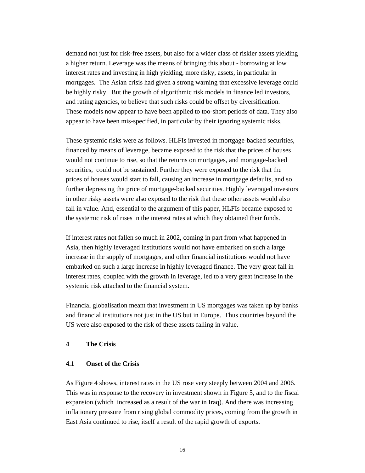demand not just for risk-free assets, but also for a wider class of riskier assets yielding a higher return. Leverage was the means of bringing this about - borrowing at low interest rates and investing in high yielding, more risky, assets, in particular in mortgages. The Asian crisis had given a strong warning that excessive leverage could be highly risky. But the growth of algorithmic risk models in finance led investors, and rating agencies, to believe that such risks could be offset by diversification. These models now appear to have been applied to too-short periods of data. They also appear to have been mis-specified, in particular by their ignoring systemic risks.

These systemic risks were as follows. HLFIs invested in mortgage-backed securities, financed by means of leverage, became exposed to the risk that the prices of houses would not continue to rise, so that the returns on mortgages, and mortgage-backed securities, could not be sustained. Further they were exposed to the risk that the prices of houses would start to fall, causing an increase in mortgage defaults, and so further depressing the price of mortgage-backed securities. Highly leveraged investors in other risky assets were also exposed to the risk that these other assets would also fall in value. And, essential to the argument of this paper, HLFIs became exposed to the systemic risk of rises in the interest rates at which they obtained their funds.

If interest rates not fallen so much in 2002, coming in part from what happened in Asia, then highly leveraged institutions would not have embarked on such a large increase in the supply of mortgages, and other financial institutions would not have embarked on such a large increase in highly leveraged finance. The very great fall in interest rates, coupled with the growth in leverage, led to a very great increase in the systemic risk attached to the financial system.

Financial globalisation meant that investment in US mortgages was taken up by banks and financial institutions not just in the US but in Europe. Thus countries beyond the US were also exposed to the risk of these assets falling in value.

#### **4 The Crisis**

# **4.1 Onset of the Crisis**

As Figure 4 shows, interest rates in the US rose very steeply between 2004 and 2006. This was in response to the recovery in investment shown in Figure 5, and to the fiscal expansion (which increased as a result of the war in Iraq). And there was increasing inflationary pressure from rising global commodity prices, coming from the growth in East Asia continued to rise, itself a result of the rapid growth of exports.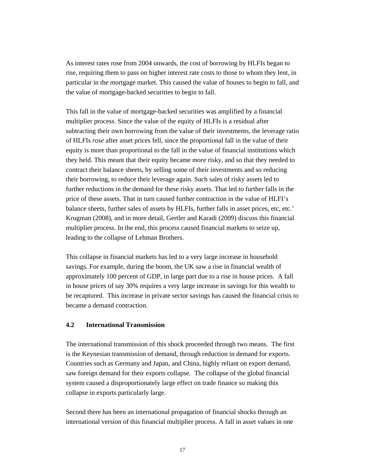As interest rates rose from 2004 onwards, the cost of borrowing by HLFIs began to rise, requiring them to pass on higher interest rate costs to those to whom they lent, in particular in the mortgage market. This caused the value of houses to begin to fall, and the value of mortgage-backed securities to begin to fall.

This fall in the value of mortgage-backed securities was amplified by a financial multiplier process. Since the value of the equity of HLFIs is a residual after subtracting their own borrowing from the value of their investments, the leverage ratio of HLFIs *rose* after asset prices fell, since the proportional fall in the value of their equity is more than proportional to the fall in the value of financial institutions which they held. This meant that their equity became *more* risky, and so that they needed to contract their balance sheets, by selling some of their investments and so reducing their borrowing, to reduce their leverage again. Such sales of risky assets led to further reductions in the demand for these risky assets. That led to further falls in the price of these assets. That in turn caused further contraction in the value of HLFI's balance sheets, further sales of assets by HLFIs, further falls in asset prices, etc, etc.' Krugman (2008), and in more detail, Gertler and Karadi (2009) discuss this financial multiplier process. In the end, this process caused financial markets to seize up, leading to the collapse of Lehman Brothers.

This collapse in financial markets has led to a very large increase in household savings. For example, during the boom, the UK saw a rise in financial wealth of approximately 100 percent of GDP, in large part due to a rise in house prices. A fall in house prices of say 30% requires a very large increase in savings for this wealth to be recaptured. This increase in private sector savings has caused the financial crisis to became a demand contraction.

#### **4.2 International Transmission**

The international transmission of this shock proceeded through two means. The first is the Keynesian transmission of demand, through reduction in demand for exports. Countries such as Germany and Japan, and China, highly reliant on export demand, saw foreign demand for their exports collapse. The collapse of the global financial system caused a disproportionately large effect on trade finance so making this collapse in exports particularly large.

Second there has been an international propagation of financial shocks through an international version of this financial multiplier process. A fall in asset values in one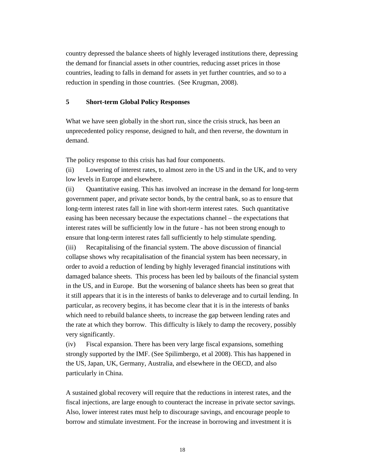country depressed the balance sheets of highly leveraged institutions there, depressing the demand for financial assets in other countries, reducing asset prices in those countries, leading to falls in demand for assets in yet further countries, and so to a reduction in spending in those countries. (See Krugman, 2008).

# **5 Short-term Global Policy Responses**

What we have seen globally in the short run, since the crisis struck, has been an unprecedented policy response, designed to halt, and then reverse, the downturn in demand.

The policy response to this crisis has had four components.

(ii) Lowering of interest rates, to almost zero in the US and in the UK, and to very low levels in Europe and elsewhere.

(ii) Quantitative easing. This has involved an increase in the demand for long-term government paper, and private sector bonds, by the central bank, so as to ensure that long-term interest rates fall in line with short-term interest rates. Such quantitative easing has been necessary because the expectations channel – the expectations that interest rates will be sufficiently low in the future - has not been strong enough to ensure that long-term interest rates fall sufficiently to help stimulate spending.

(iii) Recapitalising of the financial system. The above discussion of financial collapse shows why recapitalisation of the financial system has been necessary, in order to avoid a reduction of lending by highly leveraged financial institutions with damaged balance sheets. This process has been led by bailouts of the financial system in the US, and in Europe. But the worsening of balance sheets has been so great that it still appears that it is in the interests of banks to deleverage and to curtail lending. In particular, as recovery begins, it has become clear that it is in the interests of banks which need to rebuild balance sheets, to increase the gap between lending rates and the rate at which they borrow. This difficulty is likely to damp the recovery, possibly very significantly.

(iv) Fiscal expansion. There has been very large fiscal expansions, something strongly supported by the IMF. (See Spilimbergo, et al 2008). This has happened in the US, Japan, UK, Germany, Australia, and elsewhere in the OECD, and also particularly in China.

A sustained global recovery will require that the reductions in interest rates, and the fiscal injections, are large enough to counteract the increase in private sector savings. Also, lower interest rates must help to discourage savings, and encourage people to borrow and stimulate investment. For the increase in borrowing and investment it is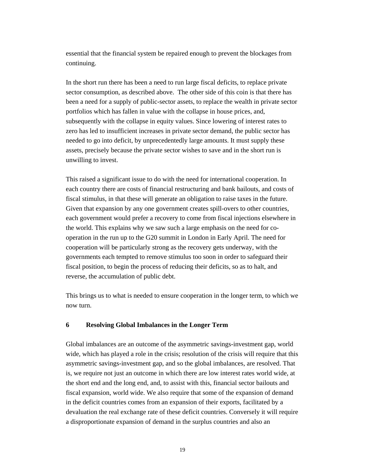essential that the financial system be repaired enough to prevent the blockages from continuing.

In the short run there has been a need to run large fiscal deficits, to replace private sector consumption, as described above. The other side of this coin is that there has been a need for a supply of public-sector assets, to replace the wealth in private sector portfolios which has fallen in value with the collapse in house prices, and, subsequently with the collapse in equity values. Since lowering of interest rates to zero has led to insufficient increases in private sector demand, the public sector has needed to go into deficit, by unprecedentedly large amounts. It must supply these assets, precisely because the private sector wishes to save and in the short run is unwilling to invest.

This raised a significant issue to do with the need for international cooperation. In each country there are costs of financial restructuring and bank bailouts, and costs of fiscal stimulus, in that these will generate an obligation to raise taxes in the future. Given that expansion by any one government creates spill-overs to other countries, each government would prefer a recovery to come from fiscal injections elsewhere in the world. This explains why we saw such a large emphasis on the need for cooperation in the run up to the G20 summit in London in Early April. The need for cooperation will be particularly strong as the recovery gets underway, with the governments each tempted to remove stimulus too soon in order to safeguard their fiscal position, to begin the process of reducing their deficits, so as to halt, and reverse, the accumulation of public debt.

This brings us to what is needed to ensure cooperation in the longer term, to which we now turn.

## **6 Resolving Global Imbalances in the Longer Term**

Global imbalances are an outcome of the asymmetric savings-investment gap, world wide, which has played a role in the crisis; resolution of the crisis will require that this asymmetric savings-investment gap, and so the global imbalances, are resolved. That is, we require not just an outcome in which there are low interest rates world wide, at the short end and the long end, and, to assist with this, financial sector bailouts and fiscal expansion, world wide. We also require that some of the expansion of demand in the deficit countries comes from an expansion of their exports, facilitated by a devaluation the real exchange rate of these deficit countries. Conversely it will require a disproportionate expansion of demand in the surplus countries and also an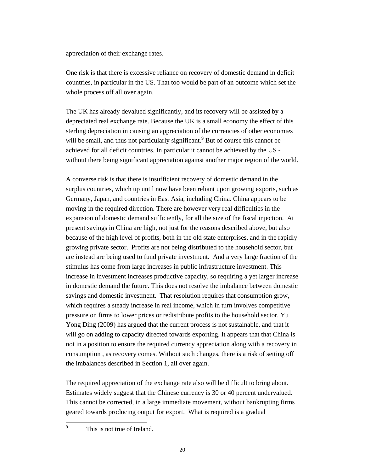appreciation of their exchange rates.

One risk is that there is excessive reliance on recovery of domestic demand in deficit countries, in particular in the US. That too would be part of an outcome which set the whole process off all over again.

The UK has already devalued significantly, and its recovery will be assisted by a depreciated real exchange rate. Because the UK is a small economy the effect of this sterling depreciation in causing an appreciation of the currencies of other economies will be small, and thus not particularly significant.<sup>9</sup> But of course this cannot be achieved for all deficit countries. In particular it cannot be achieved by the US without there being significant appreciation against another major region of the world.

A converse risk is that there is insufficient recovery of domestic demand in the surplus countries, which up until now have been reliant upon growing exports, such as Germany, Japan, and countries in East Asia, including China. China appears to be moving in the required direction. There are however very real difficulties in the expansion of domestic demand sufficiently, for all the size of the fiscal injection. At present savings in China are high, not just for the reasons described above, but also because of the high level of profits, both in the old state enterprises, and in the rapidly growing private sector. Profits are not being distributed to the household sector, but are instead are being used to fund private investment. And a very large fraction of the stimulus has come from large increases in public infrastructure investment. This increase in investment increases productive capacity, so requiring a yet larger increase in domestic demand the future. This does not resolve the imbalance between domestic savings and domestic investment. That resolution requires that consumption grow, which requires a steady increase in real income, which in turn involves competitive pressure on firms to lower prices or redistribute profits to the household sector. Yu Yong Ding (2009) has argued that the current process is not sustainable, and that it will go on adding to capacity directed towards exporting. It appears that that China is not in a position to ensure the required currency appreciation along with a recovery in consumption , as recovery comes. Without such changes, there is a risk of setting off the imbalances described in Section 1, all over again.

The required appreciation of the exchange rate also will be difficult to bring about. Estimates widely suggest that the Chinese currency is 30 or 40 percent undervalued. This cannot be corrected, in a large immediate movement, without bankrupting firms geared towards producing output for export. What is required is a gradual

 $\overline{a}$ 9

This is not true of Ireland.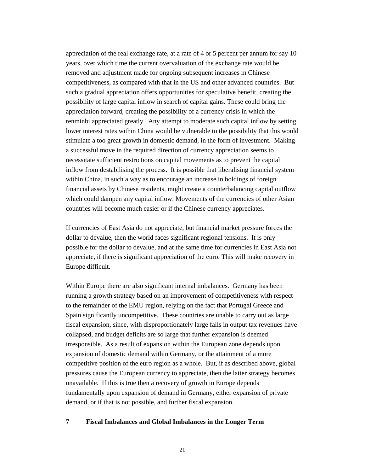appreciation of the real exchange rate, at a rate of 4 or 5 percent per annum for say 10 years, over which time the current overvaluation of the exchange rate would be removed and adjustment made for ongoing subsequent increases in Chinese competitiveness, as compared with that in the US and other advanced countries. But such a gradual appreciation offers opportunities for speculative benefit, creating the possibility of large capital inflow in search of capital gains. These could bring the appreciation forward, creating the possibility of a currency crisis in which the renminbi appreciated greatly. Any attempt to moderate such capital inflow by setting lower interest rates within China would be vulnerable to the possibility that this would stimulate a too great growth in domestic demand, in the form of investment. Making a successful move in the required direction of currency appreciation seems to necessitate sufficient restrictions on capital movements as to prevent the capital inflow from destabilising the process. It is possible that liberalising financial system within China, in such a way as to encourage an increase in holdings of foreign financial assets by Chinese residents, might create a counterbalancing capital outflow which could dampen any capital inflow. Movements of the currencies of other Asian countries will become much easier or if the Chinese currency appreciates.

If currencies of East Asia do not appreciate, but financial market pressure forces the dollar to devalue, then the world faces significant regional tensions. It is only possible for the dollar to devalue, and at the same time for currencies in East Asia not appreciate, if there is significant appreciation of the euro. This will make recovery in Europe difficult.

Within Europe there are also significant internal imbalances. Germany has been running a growth strategy based on an improvement of competitiveness with respect to the remainder of the EMU region, relying on the fact that Portugal Greece and Spain significantly uncompetitive. These countries are unable to carry out as large fiscal expansion, since, with disproportionately large falls in output tax revenues have collapsed, and budget deficits are so large that further expansion is deemed irresponsible. As a result of expansion within the European zone depends upon expansion of domestic demand within Germany, or the attainment of a more competitive position of the euro region as a whole. But, if as described above, global pressures cause the European currency to appreciate, then the latter strategy becomes unavailable. If this is true then a recovery of growth in Europe depends fundamentally upon expansion of demand in Germany, either expansion of private demand, or if that is not possible, and further fiscal expansion.

#### **7 Fiscal Imbalances and Global Imbalances in the Longer Term**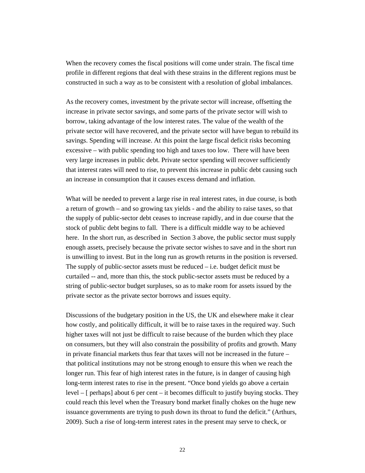When the recovery comes the fiscal positions will come under strain. The fiscal time profile in different regions that deal with these strains in the different regions must be constructed in such a way as to be consistent with a resolution of global imbalances.

As the recovery comes, investment by the private sector will increase, offsetting the increase in private sector savings, and some parts of the private sector will wish to borrow, taking advantage of the low interest rates. The value of the wealth of the private sector will have recovered, and the private sector will have begun to rebuild its savings. Spending will increase. At this point the large fiscal deficit risks becoming excessive – with public spending too high and taxes too low. There will have been very large increases in public debt. Private sector spending will recover sufficiently that interest rates will need to rise, to prevent this increase in public debt causing such an increase in consumption that it causes excess demand and inflation.

What will be needed to prevent a large rise in real interest rates, in due course, is both a return of growth – and so growing tax yields - and the ability to raise taxes, so that the supply of public-sector debt ceases to increase rapidly, and in due course that the stock of public debt begins to fall. There is a difficult middle way to be achieved here. In the short run, as described in Section 3 above, the public sector must supply enough assets, precisely because the private sector wishes to save and in the short run is unwilling to invest. But in the long run as growth returns in the position is reversed. The supply of public-sector assets must be reduced – i.e. budget deficit must be curtailed -- and, more than this, the stock public-sector assets must be reduced by a string of public-sector budget surpluses, so as to make room for assets issued by the private sector as the private sector borrows and issues equity.

Discussions of the budgetary position in the US, the UK and elsewhere make it clear how costly, and politically difficult, it will be to raise taxes in the required way. Such higher taxes will not just be difficult to raise because of the burden which they place on consumers, but they will also constrain the possibility of profits and growth. Many in private financial markets thus fear that taxes will not be increased in the future – that political institutions may not be strong enough to ensure this when we reach the longer run. This fear of high interest rates in the future, is in danger of causing high long-term interest rates to rise in the present. "Once bond yields go above a certain level – [ perhaps] about 6 per cent – it becomes difficult to justify buying stocks. They could reach this level when the Treasury bond market finally chokes on the huge new issuance governments are trying to push down its throat to fund the deficit." (Arthurs, 2009). Such a rise of long-term interest rates in the present may serve to check, or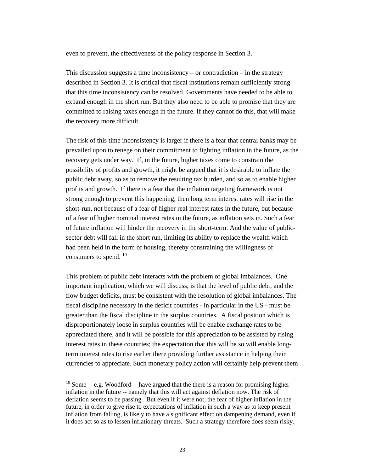even to prevent, the effectiveness of the policy response in Section 3.

This discussion suggests a time inconsistency – or contradiction – in the strategy described in Section 3. It is critical that fiscal institutions remain sufficiently strong that this time inconsistency can be resolved. Governments have needed to be able to expand enough in the short run. But they also need to be able to promise that they are committed to raising taxes enough in the future. If they cannot do this, that will make the recovery more difficult.

The risk of this time inconsistency is larger if there is a fear that central banks may be prevailed upon to renege on their commitment to fighting inflation in the future, as the recovery gets under way. If, in the future, higher taxes come to constrain the possibility of profits and growth, it might be argued that it is desirable to inflate the public debt away, so as to remove the resulting tax burden, and so as to enable higher profits and growth. If there is a fear that the inflation targeting framework is not strong enough to prevent this happening, then long term interest rates will rise in the short-run, not because of a fear of higher real interest rates in the future, but because of a fear of higher nominal interest rates in the future, as inflation sets in. Such a fear of future inflation will hinder the recovery in the short-term. And the value of publicsector debt will fall in the short run, limiting its ability to replace the wealth which had been held in the form of housing, thereby constraining the willingness of consumers to spend.  $10$ 

This problem of public debt interacts with the problem of global imbalances. One important implication, which we will discuss, is that the level of public debt, and the flow budget deficits, must be consistent with the resolution of global imbalances. The fiscal discipline necessary in the deficit countries - in particular in the US - must be greater than the fiscal discipline in the surplus countries. A fiscal position which is disproportionately loose in surplus countries will be enable exchange rates to be appreciated there, and it will be possible for this appreciation to be assisted by rising interest rates in these countries; the expectation that this will be so will enable longterm interest rates to rise earlier there providing further assistance in helping their currencies to appreciate. Such monetary policy action will certainly help prevent them

 $\overline{a}$ 

 $10$  Some -- e.g. Woodford -- have argued that the there is a reason for promising higher inflation in the future -- namely that this will act against deflation now. The risk of deflation seems to be passing. But even if it were not, the fear of higher inflation in the future, in order to give rise to expectations of inflation in such a way as to keep present inflation from falling, is likely to have a significant effect on dampening demand, even if it does act so as to lessen inflationary threats. Such a strategy therefore does seem risky.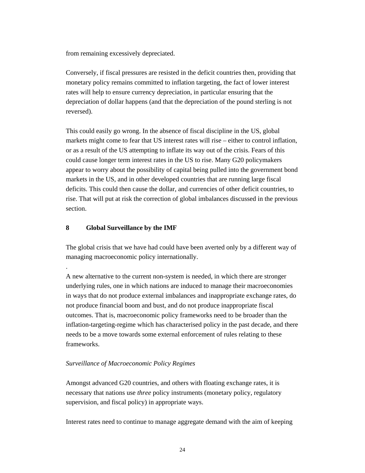from remaining excessively depreciated.

Conversely, if fiscal pressures are resisted in the deficit countries then, providing that monetary policy remains committed to inflation targeting, the fact of lower interest rates will help to ensure currency depreciation, in particular ensuring that the depreciation of dollar happens (and that the depreciation of the pound sterling is not reversed).

This could easily go wrong. In the absence of fiscal discipline in the US, global markets might come to fear that US interest rates will rise – either to control inflation, or as a result of the US attempting to inflate its way out of the crisis. Fears of this could cause longer term interest rates in the US to rise. Many G20 policymakers appear to worry about the possibility of capital being pulled into the government bond markets in the US, and in other developed countries that are running large fiscal deficits. This could then cause the dollar, and currencies of other deficit countries, to rise. That will put at risk the correction of global imbalances discussed in the previous section.

# **8 Global Surveillance by the IMF**

.

The global crisis that we have had could have been averted only by a different way of managing macroeconomic policy internationally.

A new alternative to the current non-system is needed, in which there are stronger underlying rules, one in which nations are induced to manage their macroeconomies in ways that do not produce external imbalances and inappropriate exchange rates, do not produce financial boom and bust, and do not produce inappropriate fiscal outcomes. That is, macroeconomic policy frameworks need to be broader than the inflation-targeting-regime which has characterised policy in the past decade, and there needs to be a move towards some external enforcement of rules relating to these frameworks.

## *Surveillance of Macroeconomic Policy Regimes*

Amongst advanced G20 countries, and others with floating exchange rates, it is necessary that nations use *three* policy instruments (monetary policy, regulatory supervision, and fiscal policy) in appropriate ways.

Interest rates need to continue to manage aggregate demand with the aim of keeping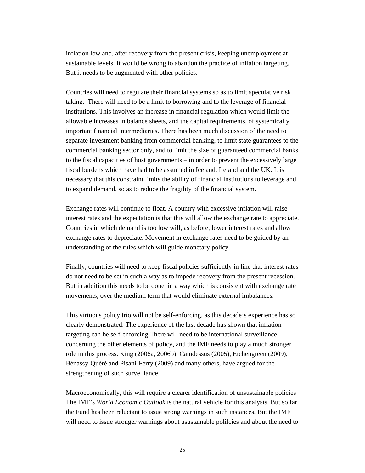inflation low and, after recovery from the present crisis, keeping unemployment at sustainable levels. It would be wrong to abandon the practice of inflation targeting. But it needs to be augmented with other policies.

Countries will need to regulate their financial systems so as to limit speculative risk taking. There will need to be a limit to borrowing and to the leverage of financial institutions. This involves an increase in financial regulation which would limit the allowable increases in balance sheets, and the capital requirements, of systemically important financial intermediaries. There has been much discussion of the need to separate investment banking from commercial banking, to limit state guarantees to the commercial banking sector only, and to limit the size of guaranteed commercial banks to the fiscal capacities of host governments – in order to prevent the excessively large fiscal burdens which have had to be assumed in Iceland, Ireland and the UK. It is necessary that this constraint limits the ability of financial institutions to leverage and to expand demand, so as to reduce the fragility of the financial system.

Exchange rates will continue to float. A country with excessive inflation will raise interest rates and the expectation is that this will allow the exchange rate to appreciate. Countries in which demand is too low will, as before, lower interest rates and allow exchange rates to depreciate. Movement in exchange rates need to be guided by an understanding of the rules which will guide monetary policy.

Finally, countries will need to keep fiscal policies sufficiently in line that interest rates do not need to be set in such a way as to impede recovery from the present recession. But in addition this needs to be done in a way which is consistent with exchange rate movements, over the medium term that would eliminate external imbalances.

This virtuous policy trio will not be self-enforcing, as this decade's experience has so clearly demonstrated. The experience of the last decade has shown that inflation targeting can be self-enforcing There will need to be international surveillance concerning the other elements of policy, and the IMF needs to play a much stronger role in this process. King (2006a, 2006b), Camdessus (2005), Eichengreen (2009), Bénassy-Quéré and Pisani-Ferry (2009) and many others, have argued for the strengthening of such surveillance.

Macroeconomically, this will require a clearer identification of unsustainable policies The IMF's *World Economic Outlook* is the natural vehicle for this analysis. But so far the Fund has been reluctant to issue strong warnings in such instances. But the IMF will need to issue stronger warnings about usustainable polilcies and about the need to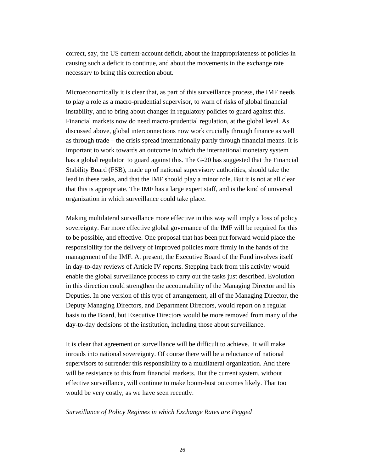correct, say, the US current-account deficit, about the inappropriateness of policies in causing such a deficit to continue, and about the movements in the exchange rate necessary to bring this correction about.

Microeconomically it is clear that, as part of this surveillance process, the IMF needs to play a role as a macro-prudential supervisor, to warn of risks of global financial instability, and to bring about changes in regulatory policies to guard against this. Financial markets now do need macro-prudential regulation, at the global level. As discussed above, global interconnections now work crucially through finance as well as through trade – the crisis spread internationally partly through financial means. It is important to work towards an outcome in which the international monetary system has a global regulator to guard against this. The G-20 has suggested that the Financial Stability Board (FSB), made up of national supervisory authorities, should take the lead in these tasks, and that the IMF should play a minor role. But it is not at all clear that this is appropriate. The IMF has a large expert staff, and is the kind of universal organization in which surveillance could take place.

Making multilateral surveillance more effective in this way will imply a loss of policy sovereignty. Far more effective global governance of the IMF will be required for this to be possible, and effective. One proposal that has been put forward would place the responsibility for the delivery of improved policies more firmly in the hands of the management of the IMF. At present, the Executive Board of the Fund involves itself in day-to-day reviews of Article IV reports. Stepping back from this activity would enable the global surveillance process to carry out the tasks just described. Evolution in this direction could strengthen the accountability of the Managing Director and his Deputies. In one version of this type of arrangement, all of the Managing Director, the Deputy Managing Directors, and Department Directors, would report on a regular basis to the Board, but Executive Directors would be more removed from many of the day-to-day decisions of the institution, including those about surveillance.

It is clear that agreement on surveillance will be difficult to achieve. It will make inroads into national sovereignty. Of course there will be a reluctance of national supervisors to surrender this responsibility to a multilateral organization. And there will be resistance to this from financial markets. But the current system, without effective surveillance, will continue to make boom-bust outcomes likely. That too would be very costly, as we have seen recently.

#### *Surveillance of Policy Regimes in which Exchange Rates are Pegged*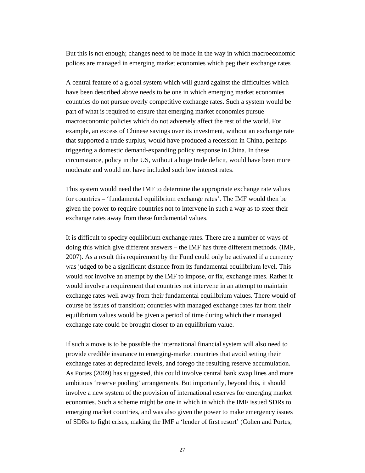But this is not enough; changes need to be made in the way in which macroeconomic polices are managed in emerging market economies which peg their exchange rates

A central feature of a global system which will guard against the difficulties which have been described above needs to be one in which emerging market economies countries do not pursue overly competitive exchange rates. Such a system would be part of what is required to ensure that emerging market economies pursue macroeconomic policies which do not adversely affect the rest of the world. For example, an excess of Chinese savings over its investment, without an exchange rate that supported a trade surplus, would have produced a recession in China, perhaps triggering a domestic demand-expanding policy response in China. In these circumstance, policy in the US, without a huge trade deficit, would have been more moderate and would not have included such low interest rates.

This system would need the IMF to determine the appropriate exchange rate values for countries – 'fundamental equilibrium exchange rates'. The IMF would then be given the power to require countries not to intervene in such a way as to steer their exchange rates away from these fundamental values.

It is difficult to specify equilibrium exchange rates. There are a number of ways of doing this which give different answers – the IMF has three different methods. (IMF, 2007). As a result this requirement by the Fund could only be activated if a currency was judged to be a significant distance from its fundamental equilibrium level. This would *not* involve an attempt by the IMF to impose, or fix, exchange rates. Rather it would involve a requirement that countries not intervene in an attempt to maintain exchange rates well away from their fundamental equilibrium values. There would of course be issues of transition; countries with managed exchange rates far from their equilibrium values would be given a period of time during which their managed exchange rate could be brought closer to an equilibrium value.

If such a move is to be possible the international financial system will also need to provide credible insurance to emerging-market countries that avoid setting their exchange rates at depreciated levels, and forego the resulting reserve accumulation. As Portes (2009) has suggested, this could involve central bank swap lines and more ambitious 'reserve pooling' arrangements. But importantly, beyond this, it should involve a new system of the provision of international reserves for emerging market economies. Such a scheme might be one in which in which the IMF issued SDRs to emerging market countries, and was also given the power to make emergency issues of SDRs to fight crises, making the IMF a 'lender of first resort' (Cohen and Portes,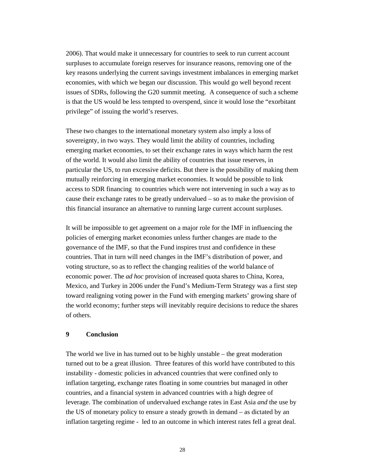2006). That would make it unnecessary for countries to seek to run current account surpluses to accumulate foreign reserves for insurance reasons, removing one of the key reasons underlying the current savings investment imbalances in emerging market economies, with which we began our discussion. This would go well beyond recent issues of SDRs, following the G20 summit meeting. A consequence of such a scheme is that the US would be less tempted to overspend, since it would lose the "exorbitant privilege" of issuing the world's reserves.

These two changes to the international monetary system also imply a loss of sovereignty, in two ways. They would limit the ability of countries, including emerging market economies, to set their exchange rates in ways which harm the rest of the world. It would also limit the ability of countries that issue reserves, in particular the US, to run excessive deficits. But there is the possibility of making them mutually reinforcing in emerging market economies. It would be possible to link access to SDR financing to countries which were not intervening in such a way as to cause their exchange rates to be greatly undervalued – so as to make the provision of this financial insurance an alternative to running large current account surpluses.

It will be impossible to get agreement on a major role for the IMF in influencing the policies of emerging market economies unless further changes are made to the governance of the IMF, so that the Fund inspires trust and confidence in these countries. That in turn will need changes in the IMF's distribution of power, and voting structure, so as to reflect the changing realities of the world balance of economic power. The *ad hoc* provision of increased quota shares to China, Korea, Mexico, and Turkey in 2006 under the Fund's Medium-Term Strategy was a first step toward realigning voting power in the Fund with emerging markets' growing share of the world economy; further steps will inevitably require decisions to reduce the shares of others.

## **9 Conclusion**

The world we live in has turned out to be highly unstable – the great moderation turned out to be a great illusion. Three features of this world have contributed to this instability - domestic policies in advanced countries that were confined only to inflation targeting, exchange rates floating in some countries but managed in other countries, and a financial system in advanced countries with a high degree of leverage. The combination of undervalued exchange rates in East Asia *and* the use by the US of monetary policy to ensure a steady growth in demand – as dictated by an inflation targeting regime - led to an outcome in which interest rates fell a great deal.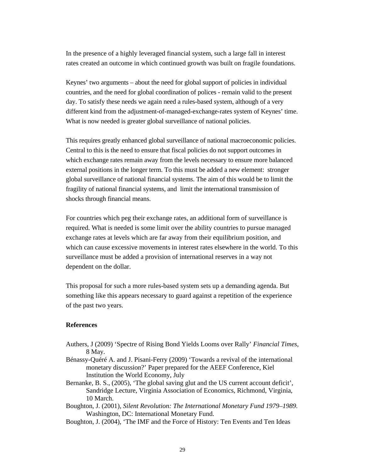In the presence of a highly leveraged financial system, such a large fall in interest rates created an outcome in which continued growth was built on fragile foundations.

Keynes' two arguments – about the need for global support of policies in individual countries, and the need for global coordination of polices - remain valid to the present day. To satisfy these needs we again need a rules-based system, although of a very different kind from the adjustment-of-managed-exchange-rates system of Keynes' time. What is now needed is greater global surveillance of national policies.

This requires greatly enhanced global surveillance of national macroeconomic policies. Central to this is the need to ensure that fiscal policies do not support outcomes in which exchange rates remain away from the levels necessary to ensure more balanced external positions in the longer term. To this must be added a new element: stronger global surveillance of national financial systems. The aim of this would be to limit the fragility of national financial systems, and limit the international transmission of shocks through financial means.

For countries which peg their exchange rates, an additional form of surveillance is required. What is needed is some limit over the ability countries to pursue managed exchange rates at levels which are far away from their equilibrium position, and which can cause excessive movements in interest rates elsewhere in the world. To this surveillance must be added a provision of international reserves in a way not dependent on the dollar.

This proposal for such a more rules-based system sets up a demanding agenda. But something like this appears necessary to guard against a repetition of the experience of the past two years.

#### **References**

- Authers, J (2009) 'Spectre of Rising Bond Yields Looms over Rally' *Financial Times,* 8 May.
- Bénassy-Quéré A. and J. Pisani-Ferry (2009) 'Towards a revival of the international monetary discussion?' Paper prepared for the AEEF Conference, Kiel Institution the World Economy, July
- Bernanke, B. S., (2005), 'The global saving glut and the US current account deficit', Sandridge Lecture, Virginia Association of Economics, Richmond, Virginia, 10 March.
- Boughton, J. (2001), *Silent Revolution: The International Monetary Fund 1979–1989.*  Washington, DC: International Monetary Fund.
- Boughton, J. (2004), 'The IMF and the Force of History: Ten Events and Ten Ideas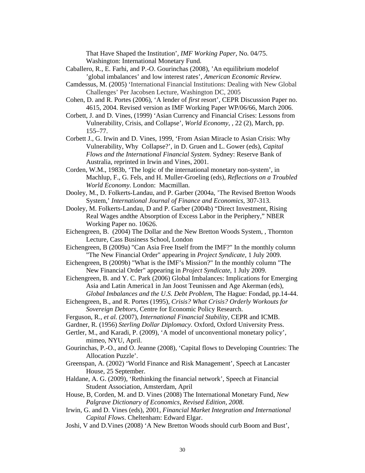That Have Shaped the Institution', *IMF Working Paper,* No. 04/75. Washington: International Monetary Fund.

- Caballero, R., E. Farhi, and P.-O. Gourinchas (2008), 'An equilibrium modelof 'global imbalances' and low interest rates', *American Economic Review.*
- Camdessus, M. (2005) 'International Financial Institutions: Dealing with New Global Challenges' Per Jacobsen Lecture, Washington DC, 2005
- Cohen, D. and R. Portes (2006), 'A lender of *first* resort', CEPR Discussion Paper no. 4615, 2004. Revised version as IMF Working Paper WP/06/66, March 2006.
- Corbett, J. and D. Vines, (1999) 'Asian Currency and Financial Crises: Lessons from Vulnerability, Crisis, and Collapse', *World Economy,* , 22 (2), March, pp. 155–77.
- Corbett J., G. Irwin and D. Vines, 1999, 'From Asian Miracle to Asian Crisis: Why Vulnerability, Why Collapse?', in D. Gruen and L. Gower (eds), *Capital Flows and the International Financial System.* Sydney: Reserve Bank of Australia, reprinted in Irwin and Vines, 2001.
- Corden, W.M., 1983b, 'The logic of the international monetary non-system', in Machlup, F., G. Fels, and H. Muller-Groeling (eds), *Reflections on a Troubled World Economy.* London: Macmillan.
- Dooley, M., D. Folkerts-Landau, and P. Garber (2004a, 'The Revised Bretton Woods System,' *International Journal of Finance and Economics*, 307-313.
- Dooley, M. Folkerts-Landau, D and P. Garber (2004b) "Direct Investment, Rising Real Wages andthe Absorption of Excess Labor in the Periphery," NBER Working Paper no. 10626.
- Eichengreen, B. (2004) The Dollar and the New Bretton Woods System, , Thornton Lecture, Cass Business School, London
- Eichengreen, B (2009a) "Can Asia Free Itself from the IMF?" In the monthly column "The New Financial Order" appearing in *Project Syndicate*, 1 July 2009.
- Eichengreen, B (2009b) "What is the IMF's Mission?" In the monthly column "The New Financial Order" appearing in *Project Syndicate*, 1 July 2009.
- Eichengreen, B. and Y. C. Park (2006) Global Imbalances: Implications for Emerging Asia and Latin America1 in Jan Joost Teunissen and Age Akerman (eds), *Global Imbalances and the U.S. Debt Problem*, The Hague: Fondad, pp.14-44.
- Eichengreen, B., and R. Portes (1995), *Crisis? What Crisis? Orderly Workouts for Sovereign Debtors*, Centre for Economic Policy Research.
- Ferguson, R., *et al.* (2007), *International Financial Stability,* CEPR and ICMB.
- Gardner, R. (1956) *Sterling Dollar Diplomacy.* Oxford, Oxford University Press.
- Gertler, M., and Karadi, P. (2009), 'A model of unconventional monetary policy', mimeo, NYU, April.
- Gourinchas, P.-O., and O. Jeanne (2008), 'Capital flows to Developing Countries: The Allocation Puzzle'.
- Greenspan, A. (2002) 'World Finance and Risk Management', Speech at Lancaster House, 25 September.
- Haldane, A. G. (2009), 'Rethinking the financial network', Speech at Financial Student Association, Amsterdam, April
- House, B, Corden, M. and D. Vines (2008) The International Monetary Fund, *New Palgrave Dictionary of Economics, Revised Edition, 2008*.
- Irwin, G. and D. Vines (eds), 2001, *Financial Market Integration and International Capital Flows*. Cheltenham: Edward Elgar.
- Joshi, V and D.Vines (2008) 'A New Bretton Woods should curb Boom and Bust',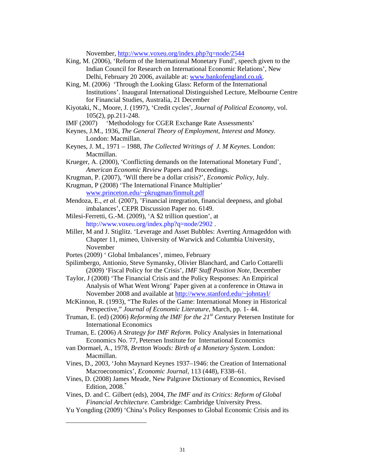November, http://www.voxeu.org/index.php?q=node/2544

- King, M. (2006), 'Reform of the International Monetary Fund', speech given to the Indian Council for Research on International Economic Relations', New Delhi, February 20 2006, available at: www.bankofengland.co.uk.
- King, M. (2006) 'Through the Looking Glass: Reform of the International Institutions'. Inaugural International Distinguished Lecture, Melbourne Centre for Financial Studies, Australia, 21 December
- Kiyotaki, N., Moore, J. (1997), 'Credit cycles', *Journal of Political Economy*, vol. 105(2), pp.211-248.
- IMF (2007) 'Methodology for CGER Exchange Rate Assessments'

Keynes, J.M., 1936, *The General Theory of Employment, Interest and Money.*  London: Macmillan.

- Keynes, J. M., 1971 1988, *The Collected Writings of J. M Keynes.* London: Macmillan.
- Krueger, A. (2000), 'Conflicting demands on the International Monetary Fund', *American Economic Review* Papers and Proceedings.
- Krugman, P. (2007), 'Will there be a dollar crisis?', *Economic Policy*, July.
- Krugman, P (2008) 'The International Finance Multiplier' www.princeton.edu/~pkrugman/finmult.pdf
- Mendoza, E., *et al.* (2007), 'Financial integration, financial deepness, and global imbalances', CEPR Discussion Paper no. 6149.
- Milesi-Ferretti, G.-M. (2009), 'A \$2 trillion question', at http://www.voxeu.org/index.php?q=node/2902 .
- Miller, M and J. Stiglitz. 'Leverage and Asset Bubbles: Averting Armageddon with Chapter 11, mimeo, University of Warwick and Columbia University, November
- Portes (2009) ' Global Imbalances', mimeo, February

 $\overline{a}$ 

- Spilimbergo, Antionio, Steve Symansky, Olivier Blanchard, and Carlo Cottarelli (2009) 'Fiscal Policy for the Crisis', *IMF Staff Position Note,* December
- Taylor, J (2008) 'The Financial Crisis and the Policy Responses: An Empirical Analysis of What Went Wrong' Paper given at a conference in Ottawa in November 2008 and available at http://www.stanford.edu/~johntayl/
- McKinnon, R. (1993), "The Rules of the Game: International Money in Historical Perspective," *Journal of Economic Literature,* March, pp. 1- 44.
- Truman, E. (ed) (2006) *Reforming the IMF for the 21st Century* Petersen Institute for International Economics
- Truman, E. (2006) *A Strategy for IMF Reform.* Policy Analysies in International Economics No. 77, Petersen Institute for International Economics
- van Dormael, A., 1978, *Bretton Woods: Birth of a Monetary System.* London: Macmillan.
- Vines, D., 2003, 'John Maynard Keynes 1937–1946: the Creation of International Macroeconomics', *Economic Journal,* 113 (448), F338–61.
- Vines, D. (2008) James Meade, New Palgrave Dictionary of Economics, Revised Edition, 2008.<sup>\*</sup>
- Vines, D. and C. Gilbert (eds), 2004, *The IMF and its Critics: Reform of Global Financial Architecture.* Cambridge: Cambridge University Press.
- Yu Yongding (2009) 'China's Policy Responses to Global Economic Crisis and its